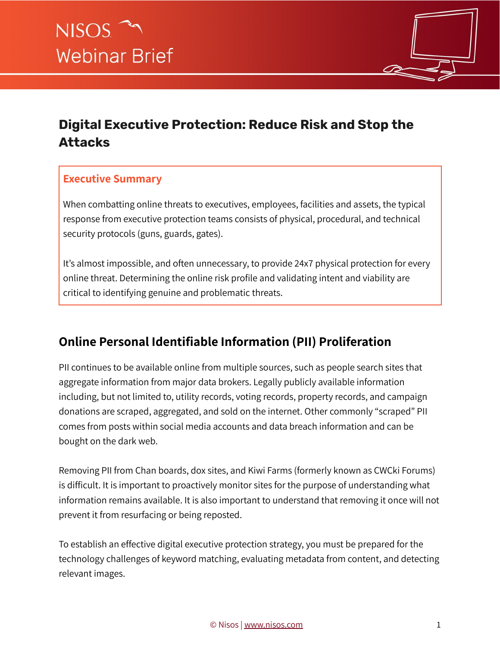

# **Digital Executive Protection: Reduce Risk and Stop the Attacks**

#### **Executive Summary**

When combatting online threats to executives, employees, facilities and assets, the typical response from executive protection teams consists of physical, procedural, and technical security protocols (guns, guards, gates).

It's almost impossible, and often unnecessary, to provide 24x7 physical protection for every online threat. Determining the online risk profile and validating intent and viability are critical to identifying genuine and problematic threats.

## **Online Personal Identifiable Information (PII) Proliferation**

PII continues to be available online from multiple sources, such as people search sites that aggregate information from major data brokers. Legally publicly available information including, but not limited to, utility records, voting records, property records, and campaign donations are scraped, aggregated, and sold on the internet. Other commonly "scraped" PII comes from posts within social media accounts and data breach information and can be bought on the dark web.

Removing PII from Chan boards, dox sites, and Kiwi Farms (formerly known as CWCki Forums) is difficult. It is important to proactively monitor sites for the purpose of understanding what information remains available. It is also important to understand that removing it once will not prevent it from resurfacing or being reposted.

To establish an effective digital executive protection strategy, you must be prepared for the technology challenges of keyword matching, evaluating metadata from content, and detecting relevant images.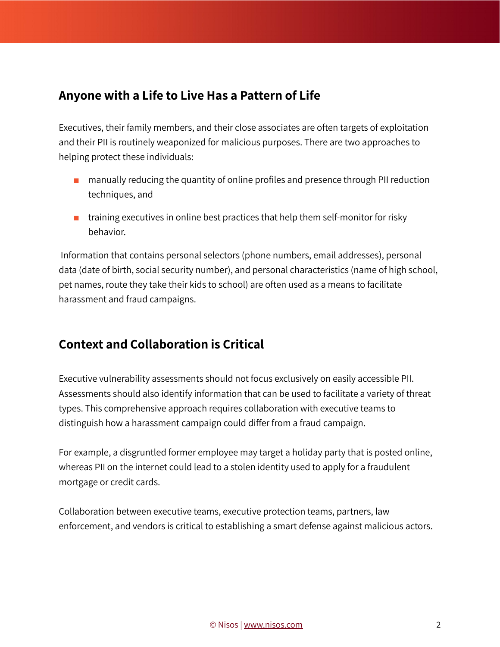#### **Anyone with a Life to Live Has a Pattern of Life**

Executives, their family members, and their close associates are often targets of exploitation and their PII is routinely weaponized for malicious purposes. There are two approaches to helping protect these individuals:

- manually reducing the quantity of online profiles and presence through PII reduction techniques, and
- $\blacksquare$  training executives in online best practices that help them self-monitor for risky behavior.

Information that contains personal selectors (phone numbers, email addresses), personal data (date of birth, social security number), and personal characteristics (name of high school, pet names, route they take their kids to school) are often used as a means to facilitate harassment and fraud campaigns.

## **Context and Collaboration is Critical**

Executive vulnerability assessments should not focus exclusively on easily accessible PII. Assessments should also identify information that can be used to facilitate a variety of threat types. This comprehensive approach requires collaboration with executive teams to distinguish how a harassment campaign could differ from a fraud campaign.

For example, a disgruntled former employee may target a holiday party that is posted online, whereas PII on the internet could lead to a stolen identity used to apply for a fraudulent mortgage or credit cards.

Collaboration between executive teams, executive protection teams, partners, law enforcement, and vendors is critical to establishing a smart defense against malicious actors.